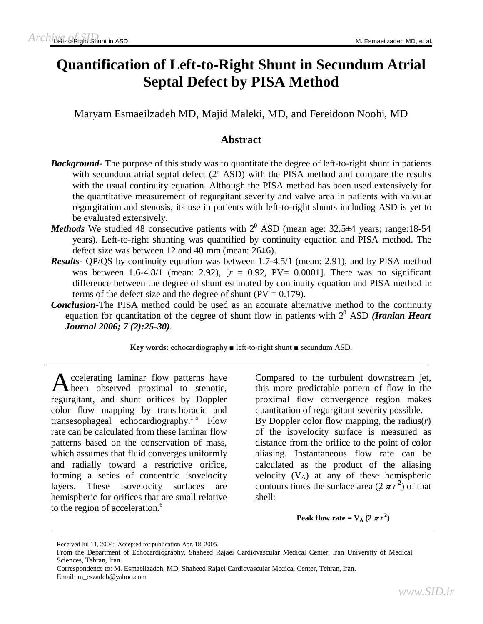# **Quantification of Left-to-Right Shunt in Secundum Atrial Septal Defect by PISA Method**

Maryam Esmaeilzadeh MD, Majid Maleki, MD, and Fereidoon Noohi, MD

# **Abstract**

- *Background* The purpose of this study was to quantitate the degree of left-to-right shunt in patients with secundum atrial septal defect (2<sup>o</sup> ASD) with the PISA method and compare the results with the usual continuity equation. Although the PISA method has been used extensively for the quantitative measurement of regurgitant severity and valve area in patients with valvular regurgitation and stenosis, its use in patients with left-to-right shunts including ASD is yet to be evaluated extensively.
- *Methods* We studied 48 consecutive patients with  $2^0$  ASD (mean age: 32.5 $\pm$ 4 years; range:18-54 years). Left-to-right shunting was quantified by continuity equation and PISA method. The defect size was between 12 and 40 mm (mean:  $26\pm6$ ).
- *Results***-** QP/QS by continuity equation was between 1.7-4.5/1 (mean: 2.91), and by PISA method was between 1.6-4.8/1 (mean: 2.92),  $[r = 0.92, PV = 0.0001]$ . There was no significant difference between the degree of shunt estimated by continuity equation and PISA method in terms of the defect size and the degree of shunt  $(PV = 0.179)$ .
- *Conclusion***-**The PISA method could be used as an accurate alternative method to the continuity equation for quantitation of the degree of shunt flow in patients with  $2^0$  ASD *(Iranian Heart Journal 2006; 7 (2):25-30).*

**Key words:** echocardiography ■ left-to-right shunt ■ secundum ASD.

ccelerating laminar flow patterns have Accelerating laminar flow patterns have<br>been observed proximal to stenotic, regurgitant, and shunt orifices by Doppler color flow mapping by transthoracic and transesophageal echocardiography. 1-5 Flow rate can be calculated from these laminar flow patterns based on the conservation of mass, which assumes that fluid converges uniformly and radially toward a restrictive orifice, forming a series of concentric isovelocity layers. These isovelocity surfaces are hemispheric for orifices that are small relative to the region of acceleration.<sup>6</sup>

Compared to the turbulent downstream jet, this more predictable pattern of flow in the proximal flow convergence region makes quantitation of regurgitant severity possible.

By Doppler color flow mapping, the radius(*r*) of the isovelocity surface is measured as distance from the orifice to the point of color aliasing. Instantaneous flow rate can be calculated as the product of the aliasing velocity  $(V_A)$  at any of these hemispheric contours times the surface area  $(2 \pi r^2)$  of that shell:

**Peak flow rate** =  $V_A$  (2  $\pi r^2$ )

Received Jul 11, 2004; Accepted for publication Apr. 18, 2005.

From the Department of Echocardiography, Shaheed Rajaei Cardiovascular Medical Center, Iran University of Medical Sciences, Tehran, Iran.

Correspondence to: M. Esmaeilzadeh, MD, Shaheed Rajaei Cardiovascular Medical Center, Tehran, Iran. Email: [m\\_eszadeh@yahoo.com](mailto:m_eszadeh@yahoo.com)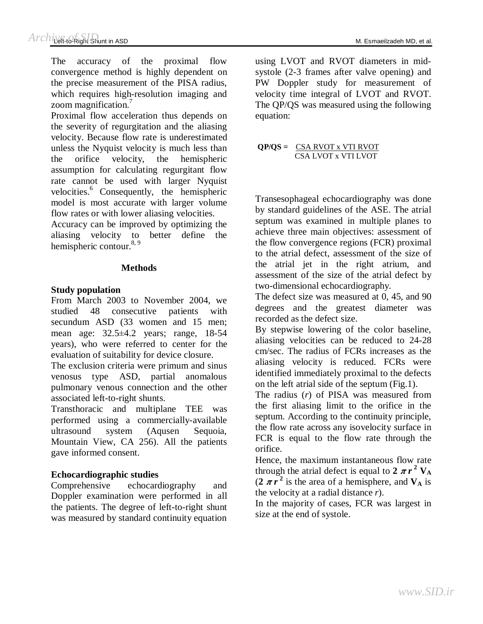The accuracy of the proximal flow convergence method is highly dependent on the precise measurement of the PISA radius, which requires high-resolution imaging and zoom magnification.<sup>7</sup>

Proximal flow acceleration thus depends on the severity of regurgitation and the aliasing velocity. Because flow rate is underestimated unless the Nyquist velocity is much less than the orifice velocity, the hemispheric assumption for calculating regurgitant flow rate cannot be used with larger Nyquist velocities.<sup>6</sup> Consequently, the hemispheric model is most accurate with larger volume flow rates or with lower aliasing velocities.

Accuracy can be improved by optimizing the aliasing velocity to better define the hemispheric contour.<sup>8, 9</sup>

## **Methods**

## **Study population**

From March 2003 to November 2004, we studied 48 consecutive patients with secundum ASD (33 women and 15 men; mean age: 32.5±4.2 years; range, 18-54 years), who were referred to center for the evaluation of suitability for device closure.

The exclusion criteria were primum and sinus venosus type ASD, partial anomalous pulmonary venous connection and the other associated left-to-right shunts.

Transthoracic and multiplane TEE was performed using a commercially-available ultrasound system (Aqusen Sequoia, Mountain View, CA 256). All the patients gave informed consent.

## **Echocardiographic studies**

Comprehensive echocardiography and Doppler examination were performed in all the patients. The degree of left-to-right shunt was measured by standard continuity equation

using LVOT and RVOT diameters in midsystole (2-3 frames after valve opening) and PW Doppler study for measurement of velocity time integral of LVOT and RVOT. The QP/QS was measured using the following equation:

**QP/QS =** CSA RVOT x VTI RVOT CSA LVOT x VTI LVOT

Transesophageal echocardiography was done by standard guidelines of the ASE. The atrial septum was examined in multiple planes to achieve three main objectives: assessment of the flow convergence regions (FCR) proximal to the atrial defect, assessment of the size of the atrial jet in the right atrium, and assessment of the size of the atrial defect by two-dimensional echocardiography.

The defect size was measured at 0, 45, and 90 degrees and the greatest diameter was recorded as the defect size.

By stepwise lowering of the color baseline, aliasing velocities can be reduced to 24-28 cm/sec. The radius of FCRs increases as the aliasing velocity is reduced. FCRs were identified immediately proximal to the defects on the left atrial side of the septum (Fig.1).

The radius (*r*) of PISA was measured from the first aliasing limit to the orifice in the septum. According to the continuity principle, the flow rate across any isovelocity surface in FCR is equal to the flow rate through the orifice.

Hence, the maximum instantaneous flow rate through the atrial defect is equal to  $2 \pi r^2$   $V_A$  $(2 \pi r^2)$  is the area of a hemisphere, and  $V_A$  is the velocity at a radial distance *r*).

In the majority of cases, FCR was largest in size at the end of systole.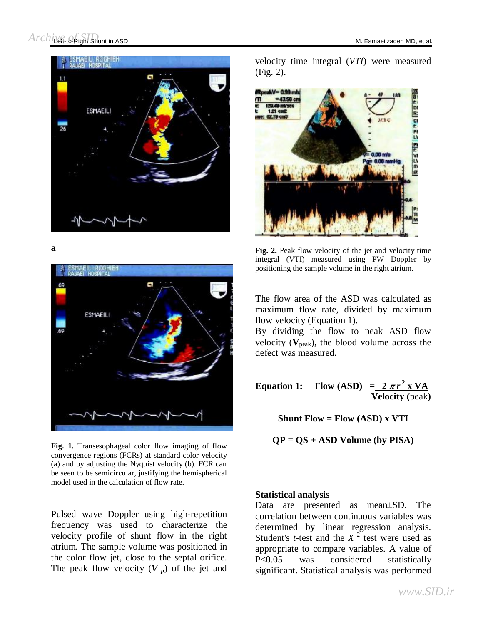

**a** 



**Fig. 1.** Transesophageal color flow imaging of flow convergence regions (FCRs) at standard color velocity (a) and by adjusting the Nyquist velocity (b). FCR can be seen to be semicircular, justifying the hemispherical model used in the calculation of flow rate.

Pulsed wave Doppler using high-repetition frequency was used to characterize the velocity profile of shunt flow in the right atrium. The sample volume was positioned in the color flow jet, close to the septal orifice. The peak flow velocity  $(V_p)$  of the jet and velocity time integral (*VTI*) were measured (Fig. 2).



**Fig. 2.** Peak flow velocity of the jet and velocity time integral (VTI) measured using PW Doppler by positioning the sample volume in the right atrium.

The flow area of the ASD was calculated as maximum flow rate, divided by maximum flow velocity (Equation 1).

By dividing the flow to peak ASD flow velocity  $(V_{peak})$ , the blood volume across the defect was measured.

**Equation 1:** Flow  $(ASD) = 2 \pi r^2 x VA$ **Velocity (**peak**)** 

**Shunt**  $Flow = Flow (ASD)$ **x**  $VTI$ 

**QP = QS + ASD Volume (by PISA)** 

#### **Statistical analysis**

Data are presented as mean±SD. The correlation between continuous variables was determined by linear regression analysis. Student's *t*-test and the  $X<sup>2</sup>$  test were used as appropriate to compare variables. A value of P<0.05 was considered statistically significant. Statistical analysis was performed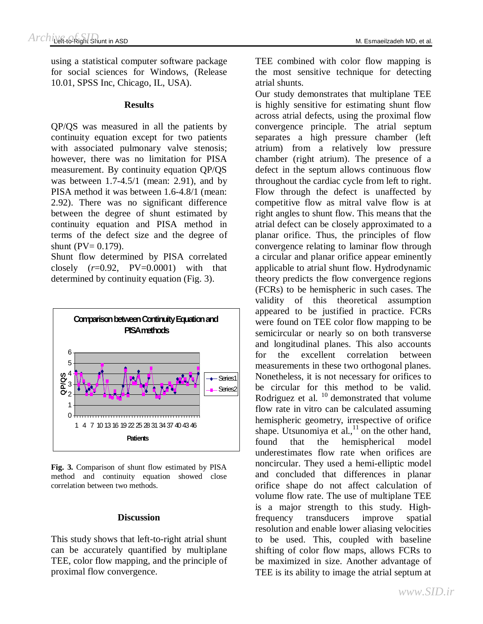using a statistical computer software package for social sciences for Windows, (Release 10.01, SPSS Inc, Chicago, IL, USA).

#### **Results**

QP/QS was measured in all the patients by continuity equation except for two patients with associated pulmonary valve stenosis; however, there was no limitation for PISA measurement. By continuity equation QP/QS was between  $1.7-4.5/1$  (mean: 2.91), and by PISA method it was between 1.6-4.8/1 (mean: 2.92). There was no significant difference between the degree of shunt estimated by continuity equation and PISA method in terms of the defect size and the degree of shunt ( $PV = 0.179$ ).

Shunt flow determined by PISA correlated closely (*r*=0.92, PV=0.0001) with that determined by continuity equation (Fig. 3).



**Fig. 3.** Comparison of shunt flow estimated by PISA method and continuity equation showed close correlation between two methods.

#### **Discussion**

This study shows that left-to-right atrial shunt can be accurately quantified by multiplane TEE, color flow mapping, and the principle of proximal flow convergence.

TEE combined with color flow mapping is the most sensitive technique for detecting atrial shunts.

Our study demonstrates that multiplane TEE is highly sensitive for estimating shunt flow across atrial defects, using the proximal flow convergence principle. The atrial septum separates a high pressure chamber (left atrium) from a relatively low pressure chamber (right atrium). The presence of a defect in the septum allows continuous flow throughout the cardiac cycle from left to right. Flow through the defect is unaffected by competitive flow as mitral valve flow is at right angles to shunt flow. This means that the atrial defect can be closely approximated to a planar orifice. Thus, the principles of flow convergence relating to laminar flow through a circular and planar orifice appear eminently applicable to atrial shunt flow. Hydrodynamic theory predicts the flow convergence regions (FCRs) to be hemispheric in such cases. The validity of this theoretical assumption appeared to be justified in practice. FCRs were found on TEE color flow mapping to be semicircular or nearly so on both transverse and longitudinal planes. This also accounts for the excellent correlation between measurements in these two orthogonal planes. Nonetheless, it is not necessary for orifices to be circular for this method to be valid. Rodriguez et al.  $^{10}$  demonstrated that volume flow rate in vitro can be calculated assuming hemispheric geometry, irrespective of orifice shape. Utsunomiya et al., $^{11}$  on the other hand, found that the hemispherical model underestimates flow rate when orifices are noncircular. They used a hemi-elliptic model and concluded that differences in planar orifice shape do not affect calculation of volume flow rate. The use of multiplane TEE is a major strength to this study. Highfrequency transducers improve spatial resolution and enable lower aliasing velocities to be used. This, coupled with baseline shifting of color flow maps, allows FCRs to be maximized in size. Another advantage of TEE is its ability to image the atrial septum at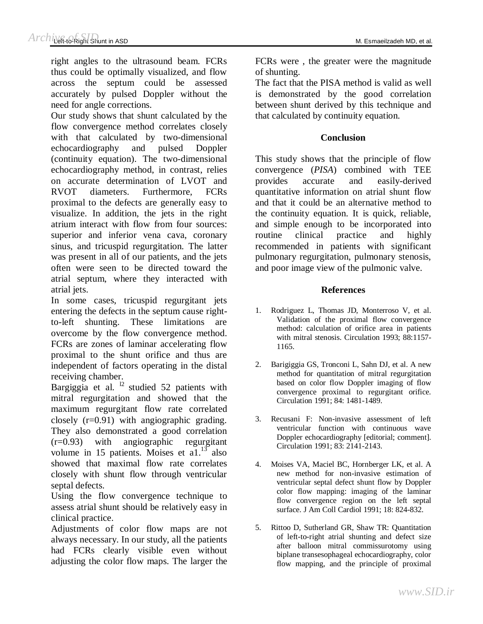right angles to the ultrasound beam. FCRs thus could be optimally visualized, and flow across the septum could be assessed accurately by pulsed Doppler without the need for angle corrections.

Our study shows that shunt calculated by the flow convergence method correlates closely with that calculated by two-dimensional echocardiography and pulsed Doppler (continuity equation). The two-dimensional echocardiography method, in contrast, relies on accurate determination of LVOT and RVOT diameters. Furthermore, FCRs proximal to the defects are generally easy to visualize. In addition, the jets in the right atrium interact with flow from four sources: superior and inferior vena cava, coronary sinus, and tricuspid regurgitation. The latter was present in all of our patients, and the jets often were seen to be directed toward the atrial septum, where they interacted with atrial jets.

In some cases, tricuspid regurgitant jets entering the defects in the septum cause rightto-left shunting. These limitations are overcome by the flow convergence method. FCRs are zones of laminar accelerating flow proximal to the shunt orifice and thus are independent of factors operating in the distal receiving chamber.

Bargiggia et al.  $12$  studied 52 patients with mitral regurgitation and showed that the maximum regurgitant flow rate correlated closely (r=0.91) with angiographic grading. They also demonstrated a good correlation (r=0.93) with angiographic regurgitant volume in 15 patients. Moises et  $a1.^{13}$  also showed that maximal flow rate correlates closely with shunt flow through ventricular septal defects.

Using the flow convergence technique to assess atrial shunt should be relatively easy in clinical practice.

Adjustments of color flow maps are not always necessary. In our study, all the patients had FCRs clearly visible even without adjusting the color flow maps. The larger the

FCRs were , the greater were the magnitude of shunting.

The fact that the PISA method is valid as well is demonstrated by the good correlation between shunt derived by this technique and that calculated by continuity equation.

### **Conclusion**

This study shows that the principle of flow convergence (*PISA*) combined with TEE provides accurate and easily-derived quantitative information on atrial shunt flow and that it could be an alternative method to the continuity equation. It is quick, reliable, and simple enough to be incorporated into routine clinical practice and highly recommended in patients with significant pulmonary regurgitation, pulmonary stenosis, and poor image view of the pulmonic valve.

#### **References**

- 1. Rodriguez L, Thomas JD, Monterroso V, et al. Validation of the proximal flow convergence method: calculation of orifice area in patients with mitral stenosis. Circulation 1993; 88:1157- 1165.
- 2. Barigiggia GS, Tronconi L, Sahn DJ, et al. A new method for quantitation of mitral regurgitation based on color flow Doppler imaging of flow convergence proximal to regurgitant orifice. Circulation 1991; 84: 1481-1489.
- 3. Recusani F: Non-invasive assessment of left ventricular function with continuous wave Doppler echocardiography [editorial; comment]. Circulation 1991; 83: 2141-2143.
- 4. Moises VA, Maciel BC, Hornberger LK, et al. A new method for non-invasive estimation of ventricular septal defect shunt flow by Doppler color flow mapping: imaging of the laminar flow convergence region on the left septal surface. J Am Coll Cardiol 1991; 18: 824-832.
- 5. Rittoo D, Sutherland GR, Shaw TR: Quantitation of left-to-right atrial shunting and defect size after balloon mitral commissurotomy using biplane transesophageal echocardiography, color flow mapping, and the principle of proximal